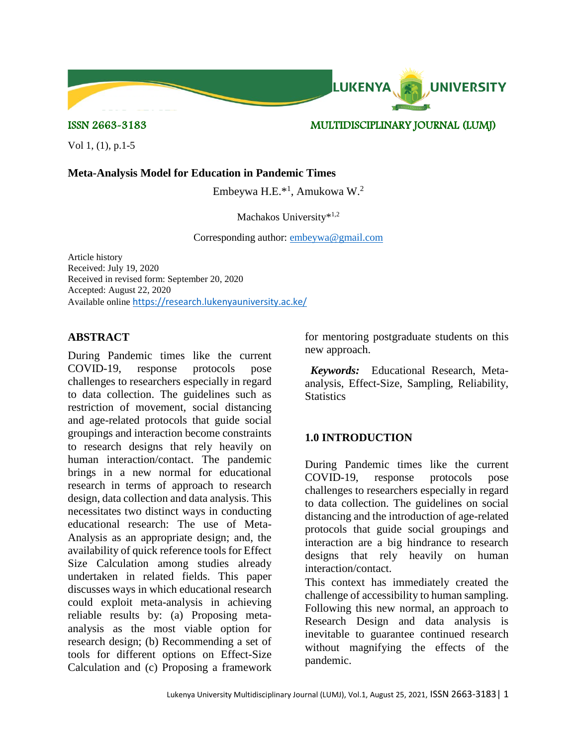

ISSN 2663-3183 MULTIDISCIPLINARY JOURNAL (LUMJ)

Vol 1, (1), p.1-5

### **Meta-Analysis Model for Education in Pandemic Times**

Embeywa H.E.\*<sup>1</sup> , Amukowa W.<sup>2</sup>

#### Machakos University\*<sup>1,2</sup>

Corresponding author: [embeywa@gmail.com](mailto:embeywa@gmail.com)

Article history Received: July 19, 2020 Received in revised form: September 20, 2020 Accepted: August 22, 2020 Available online <https://research.lukenyauniversity.ac.ke/>

## **ABSTRACT**

During Pandemic times like the current COVID-19, response protocols pose challenges to researchers especially in regard to data collection. The guidelines such as restriction of movement, social distancing and age-related protocols that guide social groupings and interaction become constraints to research designs that rely heavily on human interaction/contact. The pandemic brings in a new normal for educational research in terms of approach to research design, data collection and data analysis. This necessitates two distinct ways in conducting educational research: The use of Meta-Analysis as an appropriate design; and, the availability of quick reference tools for Effect Size Calculation among studies already undertaken in related fields. This paper discusses ways in which educational research could exploit meta-analysis in achieving reliable results by: (a) Proposing metaanalysis as the most viable option for research design; (b) Recommending a set of tools for different options on Effect-Size Calculation and (c) Proposing a framework

for mentoring postgraduate students on this new approach.

 *Keywords:* Educational Research, Metaanalysis, Effect-Size, Sampling, Reliability, **Statistics** 

# **1.0 INTRODUCTION**

During Pandemic times like the current COVID-19, response protocols pose challenges to researchers especially in regard to data collection. The guidelines on social distancing and the introduction of age-related protocols that guide social groupings and interaction are a big hindrance to research designs that rely heavily on human interaction/contact.

This context has immediately created the challenge of accessibility to human sampling. Following this new normal, an approach to Research Design and data analysis is inevitable to guarantee continued research without magnifying the effects of the pandemic.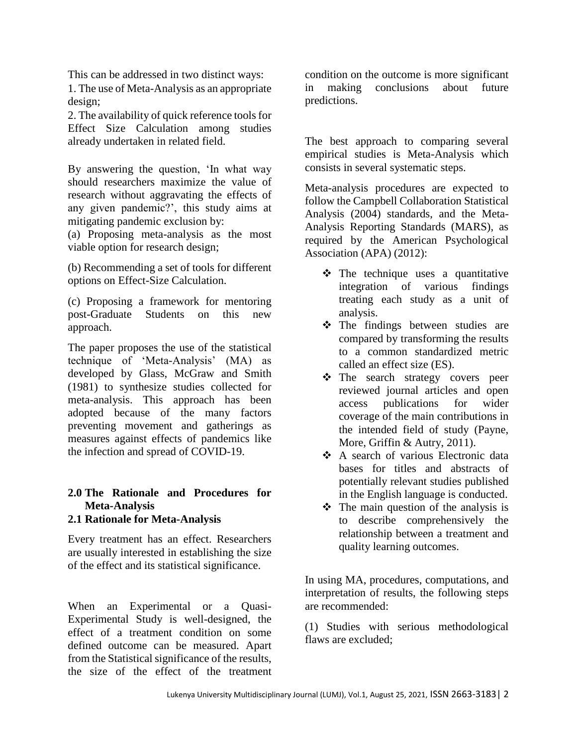This can be addressed in two distinct ways:

1. The use of Meta-Analysis as an appropriate design;

2. The availability of quick reference tools for Effect Size Calculation among studies already undertaken in related field.

By answering the question, 'In what way should researchers maximize the value of research without aggravating the effects of any given pandemic?', this study aims at mitigating pandemic exclusion by:

(a) Proposing meta-analysis as the most viable option for research design;

(b) Recommending a set of tools for different options on Effect-Size Calculation.

(c) Proposing a framework for mentoring post-Graduate Students on this new approach.

The paper proposes the use of the statistical technique of 'Meta-Analysis' (MA) as developed by Glass, McGraw and Smith (1981) to synthesize studies collected for meta-analysis. This approach has been adopted because of the many factors preventing movement and gatherings as measures against effects of pandemics like the infection and spread of COVID-19.

# **2.0 The Rationale and Procedures for Meta-Analysis**

### **2.1 Rationale for Meta-Analysis**

Every treatment has an effect. Researchers are usually interested in establishing the size of the effect and its statistical significance.

When an Experimental or a Quasi-Experimental Study is well-designed, the effect of a treatment condition on some defined outcome can be measured. Apart from the Statistical significance of the results, the size of the effect of the treatment

condition on the outcome is more significant in making conclusions about future predictions.

The best approach to comparing several empirical studies is Meta-Analysis which consists in several systematic steps.

Meta-analysis procedures are expected to follow the Campbell Collaboration Statistical Analysis (2004) standards, and the Meta-Analysis Reporting Standards (MARS), as required by the American Psychological Association (APA) (2012):

- $\triangleleft$  The technique uses a quantitative integration of various findings treating each study as a unit of analysis.
- The findings between studies are compared by transforming the results to a common standardized metric called an effect size (ES).
- The search strategy covers peer reviewed journal articles and open access publications for wider coverage of the main contributions in the intended field of study (Payne, More, Griffin & Autry, 2011).
- **↑** A search of various Electronic data bases for titles and abstracts of potentially relevant studies published in the English language is conducted.
- $\div$  The main question of the analysis is to describe comprehensively the relationship between a treatment and quality learning outcomes.

In using MA, procedures, computations, and interpretation of results, the following steps are recommended:

(1) Studies with serious methodological flaws are excluded;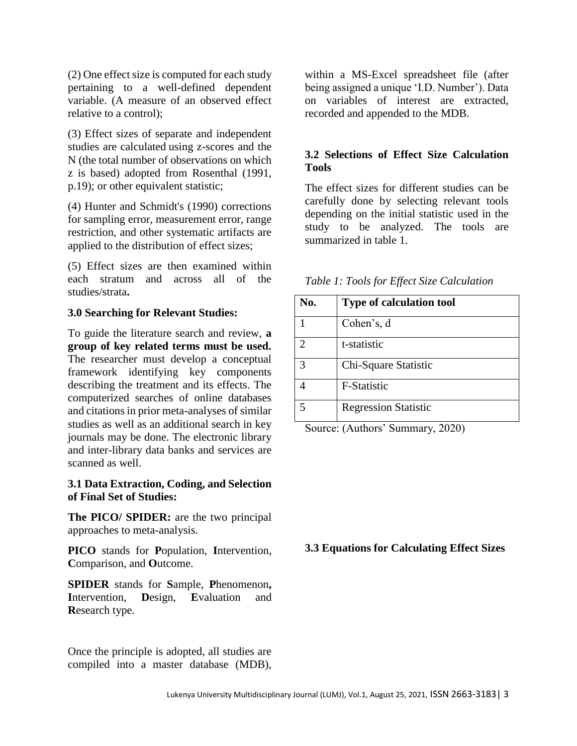(2) One effect size is computed for each study pertaining to a well-defined dependent variable. (A measure of an observed effect relative to a control);

(3) Effect sizes of separate and independent studies are calculated using z-scores and the N (the total number of observations on which z is based) adopted from Rosenthal (1991, p.19); or other equivalent statistic;

(4) Hunter and Schmidt's (1990) corrections for sampling error, measurement error, range restriction, and other systematic artifacts are applied to the distribution of effect sizes;

(5) Effect sizes are then examined within each stratum and across all of the studies/strata**.**

### **3.0 Searching for Relevant Studies:**

To guide the literature search and review, **a group of key related terms must be used.**  The researcher must develop a conceptual framework identifying key components describing the treatment and its effects. The computerized searches of online databases and citations in prior meta-analyses of similar studies as well as an additional search in key journals may be done. The electronic library and inter-library data banks and services are scanned as well.

### **3.1 Data Extraction, Coding, and Selection of Final Set of Studies:**

**The PICO/ SPIDER:** are the two principal approaches to meta-analysis.

**PICO** stands for **P**opulation, **I**ntervention, **C**omparison, and **O**utcome.

**SPIDER** stands for **S**ample, **P**henomenon**, I**ntervention, **D**esign, **E**valuation and **R**esearch type.

Once the principle is adopted, all studies are compiled into a master database (MDB),

within a MS-Excel spreadsheet file (after being assigned a unique 'I.D. Number'). Data on variables of interest are extracted, recorded and appended to the MDB.

# **3.2 Selections of Effect Size Calculation Tools**

The effect sizes for different studies can be carefully done by selecting relevant tools depending on the initial statistic used in the study to be analyzed. The tools are summarized in table 1.

| No. | <b>Type of calculation tool</b> |
|-----|---------------------------------|
|     | Cohen's, d                      |
| 2   | t-statistic                     |
| 3   | Chi-Square Statistic            |
|     | F-Statistic                     |
|     | <b>Regression Statistic</b>     |

*Table 1: Tools for Effect Size Calculation*

Source: (Authors' Summary, 2020)

### **3.3 Equations for Calculating Effect Sizes**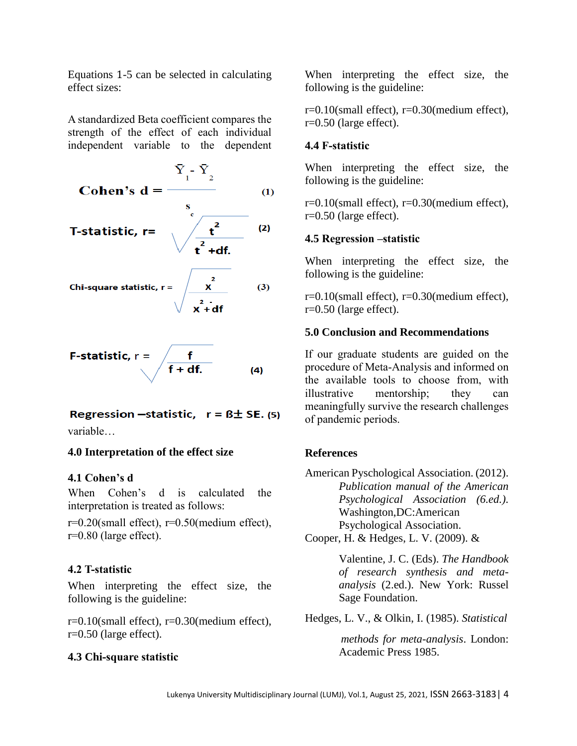Equations 1-5 can be selected in calculating effect sizes:

A standardized Beta coefficient compares the strength of the effect of each individual independent variable to the dependent

Cohen's d = 
$$
\frac{\overline{Y}_1 - \overline{Y}_2}{s}
$$
(1)  
\nT-statistic, r = 
$$
\sqrt{\frac{t^2}{t^2 + df}}
$$
(2)  
\nChi-square statistic, r = 
$$
\sqrt{\frac{t^2}{x^2 + df}}
$$
(3)

F-statistic, 
$$
r = \sqrt{\frac{f}{f + df}}
$$
. (4)

# Regression -statistic,  $r = B \pm SE$ . (5)

variable…

# **4.0 Interpretation of the effect size**

# **4.1 Cohen's d**

When Cohen's d is calculated the interpretation is treated as follows:

r=0.20(small effect), r=0.50(medium effect), r=0.80 (large effect).

# **4.2 T-statistic**

When interpreting the effect size, the following is the guideline:

r=0.10(small effect), r=0.30(medium effect), r=0.50 (large effect).

### **4.3 Chi-square statistic**

When interpreting the effect size, the following is the guideline:

r=0.10(small effect), r=0.30(medium effect), r=0.50 (large effect).

### **4.4 F-statistic**

When interpreting the effect size, the following is the guideline:

r=0.10(small effect), r=0.30(medium effect), r=0.50 (large effect).

## **4.5 Regression –statistic**

When interpreting the effect size, the following is the guideline:

r=0.10(small effect), r=0.30(medium effect), r=0.50 (large effect).

## **5.0 Conclusion and Recommendations**

If our graduate students are guided on the procedure of Meta-Analysis and informed on the available tools to choose from, with illustrative mentorship; they can meaningfully survive the research challenges of pandemic periods.

# **References**

American Pyschological Association. (2012). *Publication manual of the American Psychological Association (6.ed.).*  Washington,DC:American Psychological Association. Cooper, H. & Hedges, L. V. (2009). &

> Valentine, J. C. (Eds). *The Handbook of research synthesis and metaanalysis* (2.ed.). New York: Russel Sage Foundation.

Hedges, L. V., & Olkin, I. (1985). *Statistical*

*methods for meta-analysis*. London: Academic Press 1985.